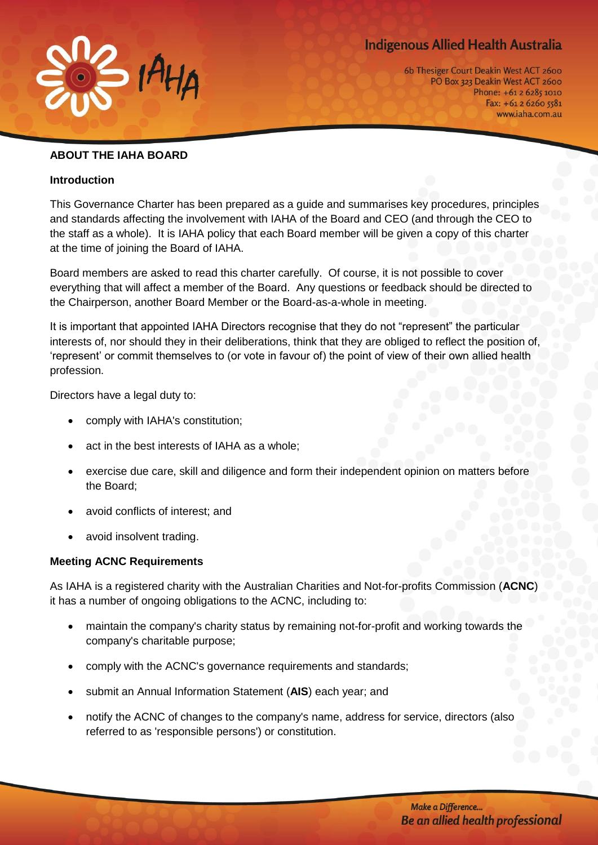# **Indigenous Allied Health Australia**



6b Thesiger Court Deakin West ACT 2600 PO Box 323 Deakin West ACT 2600 Phone: +61 2 6285 1010 Fax: +61 2 6260 5581 www.iaha.com.au

#### **ABOUT THE IAHA BOARD**

#### **Introduction**

This Governance Charter has been prepared as a guide and summarises key procedures, principles and standards affecting the involvement with IAHA of the Board and CEO (and through the CEO to the staff as a whole). It is IAHA policy that each Board member will be given a copy of this charter at the time of joining the Board of IAHA.

Board members are asked to read this charter carefully. Of course, it is not possible to cover everything that will affect a member of the Board. Any questions or feedback should be directed to the Chairperson, another Board Member or the Board-as-a-whole in meeting.

It is important that appointed IAHA Directors recognise that they do not "represent" the particular interests of, nor should they in their deliberations, think that they are obliged to reflect the position of, 'represent' or commit themselves to (or vote in favour of) the point of view of their own allied health profession.

Directors have a legal duty to:

- comply with IAHA's constitution;
- act in the best interests of IAHA as a whole;
- exercise due care, skill and diligence and form their independent opinion on matters before the Board;
- avoid conflicts of interest; and
- avoid insolvent trading.

#### **Meeting ACNC Requirements**

As IAHA is a registered charity with the Australian Charities and Not-for-profits Commission (**ACNC**) it has a number of ongoing obligations to the ACNC, including to:

- maintain the company's charity status by remaining not-for-profit and working towards the company's charitable purpose;
- comply with the ACNC's governance requirements and standards;
- submit an Annual Information Statement (**AIS**) each year; and
- notify the ACNC of changes to the company's name, address for service, directors (also referred to as 'responsible persons') or constitution.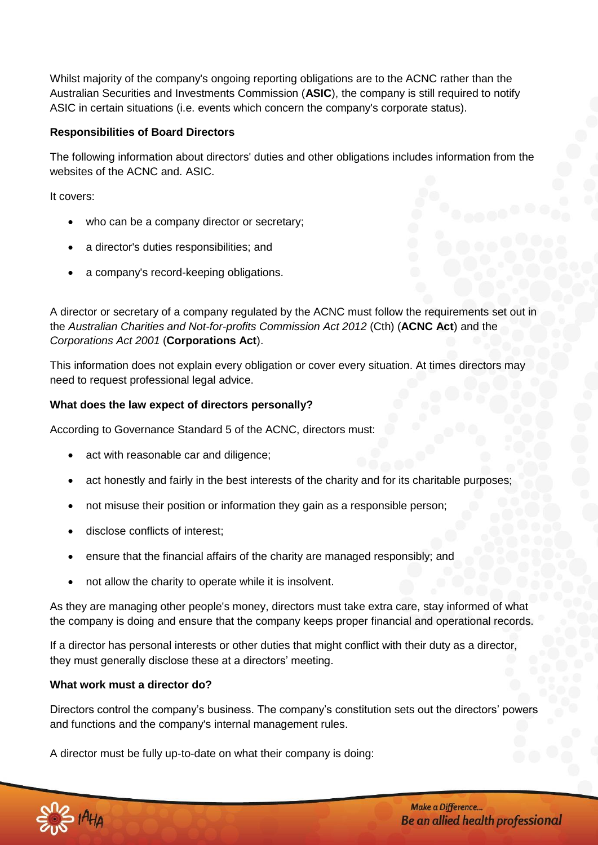Whilst majority of the company's ongoing reporting obligations are to the ACNC rather than the Australian Securities and Investments Commission (**ASIC**), the company is still required to notify ASIC in certain situations (i.e. events which concern the company's corporate status).

# **Responsibilities of Board Directors**

The following information about directors' duties and other obligations includes information from the websites of the ACNC and. ASIC.

It covers:

- who can be a company director or secretary;
- a director's duties responsibilities; and
- a company's record-keeping obligations.

A director or secretary of a company regulated by the ACNC must follow the requirements set out in the *Australian Charities and Not-for-profits Commission Act 2012* (Cth) (**ACNC Act**) and the *Corporations Act 2001* (**Corporations Act**).

This information does not explain every obligation or cover every situation. At times directors may need to request professional legal advice.

#### **What does the law expect of directors personally?**

According to Governance Standard 5 of the ACNC, directors must:

- act with reasonable car and diligence;
- act honestly and fairly in the best interests of the charity and for its charitable purposes;
- not misuse their position or information they gain as a responsible person;
- disclose conflicts of interest;
- ensure that the financial affairs of the charity are managed responsibly; and
- not allow the charity to operate while it is insolvent.

As they are managing other people's money, directors must take extra care, stay informed of what the company is doing and ensure that the company keeps proper financial and operational records.

If a director has personal interests or other duties that might conflict with their duty as a director, they must generally disclose these at a directors' meeting.

# **What work must a director do?**

Directors control the company's business. The company's constitution sets out the directors' powers and functions and the company's internal management rules.

A director must be fully up-to-date on what their company is doing:

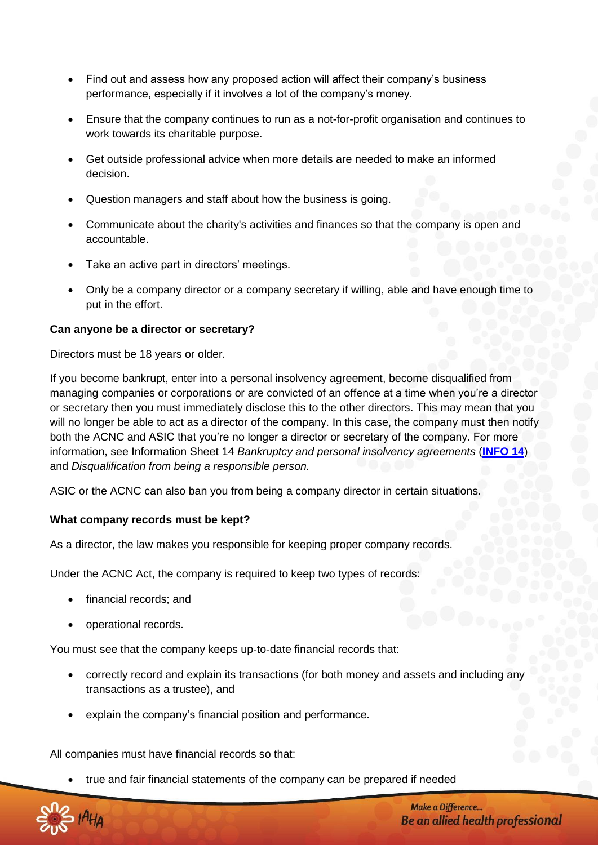- Find out and assess how any proposed action will affect their company's business performance, especially if it involves a lot of the company's money.
- Ensure that the company continues to run as a not-for-profit organisation and continues to work towards its charitable purpose.
- Get outside professional advice when more details are needed to make an informed decision.
- Question managers and staff about how the business is going.
- Communicate about the charity's activities and finances so that the company is open and accountable.
- Take an active part in directors' meetings.
- Only be a company director or a company secretary if willing, able and have enough time to put in the effort.

#### **Can anyone be a director or secretary?**

Directors must be 18 years or older.

If you become bankrupt, enter into a personal insolvency agreement, become disqualified from managing companies or corporations or are convicted of an offence at a time when you're a director or secretary then you must immediately disclose this to the other directors. This may mean that you will no longer be able to act as a director of the company. In this case, the company must then notify both the ACNC and ASIC that you're no longer a director or secretary of the company. For more information, see Information Sheet 14 *Bankruptcy and personal insolvency agreements* (**[INFO 14](http://www.asic.gov.au/asic/asic.nsf/byheadline/Bankruptcy+and+Personal+Insolvency+Agreements?openDocument)**) and *Disqualification from being a responsible person.*

ASIC or the ACNC can also ban you from being a company director in certain situations.

#### **What company records must be kept?**

As a director, the law makes you responsible for keeping proper company records.

Under the ACNC Act, the company is required to keep two types of records:

- financial records; and
- operational records.

You must see that the company keeps up-to-date financial records that:

- correctly record and explain its transactions (for both money and assets and including any transactions as a trustee), and
- explain the company's financial position and performance.

All companies must have financial records so that:

true and fair financial statements of the company can be prepared if needed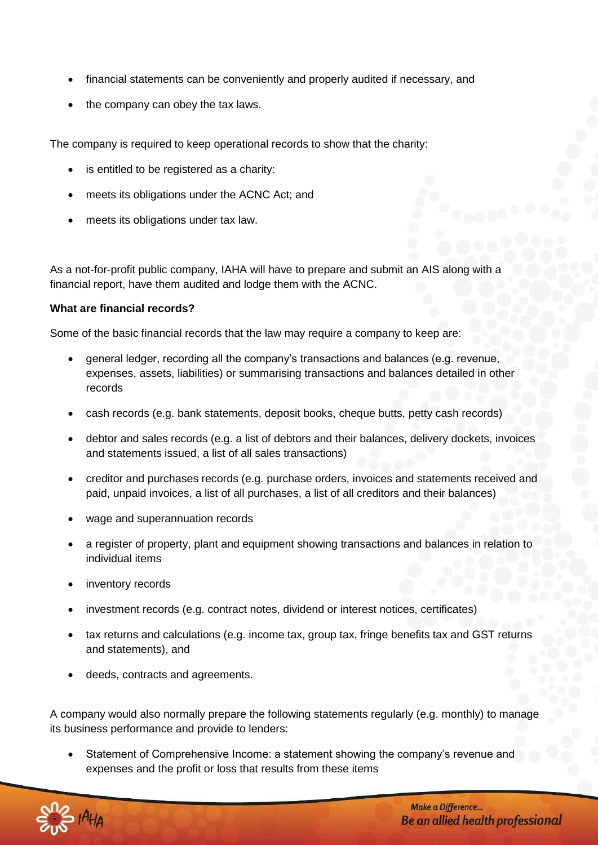- financial statements can be conveniently and properly audited if necessary, and
- the company can obey the tax laws.

The company is required to keep operational records to show that the charity:

- is entitled to be registered as a charity:
- meets its obligations under the ACNC Act; and
- meets its obligations under tax law.

As a not-for-profit public company, IAHA will have to prepare and submit an AIS along with a financial report, have them audited and lodge them with the ACNC.

# **What are financial records?**

Some of the basic financial records that the law may require a company to keep are:

- general ledger, recording all the company's transactions and balances (e.g. revenue, expenses, assets, liabilities) or summarising transactions and balances detailed in other records
- cash records (e.g. bank statements, deposit books, cheque butts, petty cash records)
- debtor and sales records (e.g. a list of debtors and their balances, delivery dockets, invoices and statements issued, a list of all sales transactions)
- creditor and purchases records (e.g. purchase orders, invoices and statements received and paid, unpaid invoices, a list of all purchases, a list of all creditors and their balances)
- wage and superannuation records
- a register of property, plant and equipment showing transactions and balances in relation to individual items
- inventory records
- investment records (e.g. contract notes, dividend or interest notices, certificates)
- tax returns and calculations (e.g. income tax, group tax, fringe benefits tax and GST returns and statements), and
- deeds, contracts and agreements.

A company would also normally prepare the following statements regularly (e.g. monthly) to manage its business performance and provide to lenders:

 Statement of Comprehensive Income: a statement showing the company's revenue and expenses and the profit or loss that results from these items

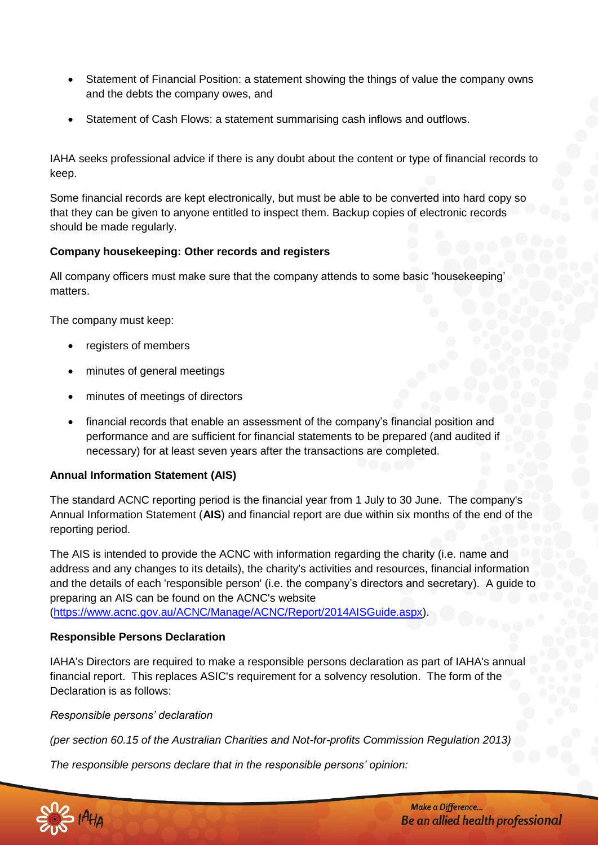- Statement of Financial Position: a statement showing the things of value the company owns and the debts the company owes, and
- Statement of Cash Flows: a statement summarising cash inflows and outflows.

IAHA seeks professional advice if there is any doubt about the content or type of financial records to keep.

Some financial records are kept electronically, but must be able to be converted into hard copy so that they can be given to anyone entitled to inspect them. Backup copies of electronic records should be made regularly.

# **Company housekeeping: Other records and registers**

All company officers must make sure that the company attends to some basic 'housekeeping' matters.

The company must keep:

- registers of members
- minutes of general meetings
- minutes of meetings of directors
- financial records that enable an assessment of the company's financial position and performance and are sufficient for financial statements to be prepared (and audited if necessary) for at least seven years after the transactions are completed.

# **Annual Information Statement (AIS)**

The standard ACNC reporting period is the financial year from 1 July to 30 June. The company's Annual Information Statement (**AIS**) and financial report are due within six months of the end of the reporting period.

The AIS is intended to provide the ACNC with information regarding the charity (i.e. name and address and any changes to its details), the charity's activities and resources, financial information and the details of each 'responsible person' (i.e. the company's directors and secretary). A guide to preparing an AIS can be found on the ACNC's website

[\(https://www.acnc.gov.au/ACNC/Manage/ACNC/Report/2014AISGuide.aspx\)](https://www.acnc.gov.au/ACNC/Manage/ACNC/Report/2014AISGuide.aspx).

# **Responsible Persons Declaration**

IAHA's Directors are required to make a responsible persons declaration as part of IAHA's annual financial report. This replaces ASIC's requirement for a solvency resolution. The form of the Declaration is as follows:

# *Responsible persons' declaration*

*(per section 60.15 of the Australian Charities and Not-for-profits Commission Regulation 2013)*

*The responsible persons declare that in the responsible persons' opinion:*

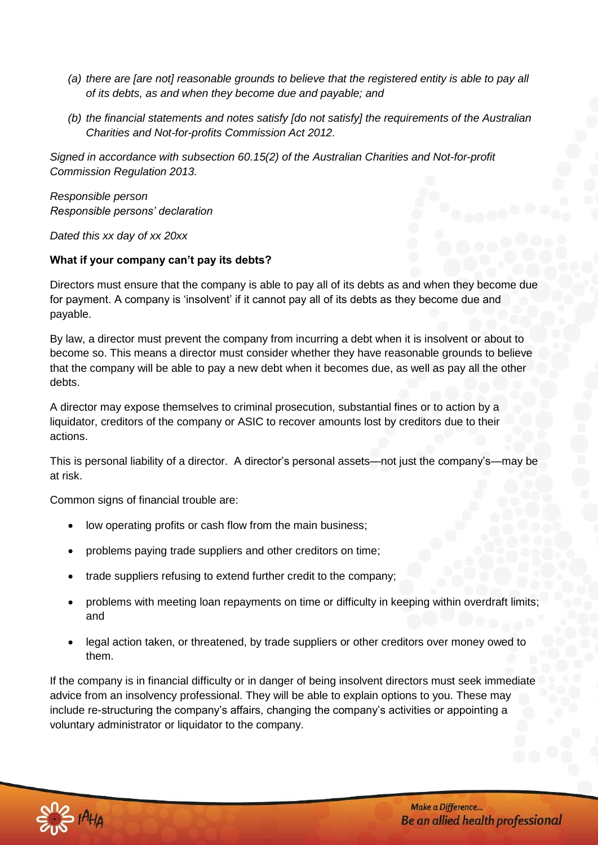- *(a) there are [are not] reasonable grounds to believe that the registered entity is able to pay all of its debts, as and when they become due and payable; and*
- *(b) the financial statements and notes satisfy [do not satisfy] the requirements of the Australian Charities and Not-for-profits Commission Act 2012.*

*Signed in accordance with subsection 60.15(2) of the Australian Charities and Not-for-profit Commission Regulation 2013.*

*Responsible person Responsible persons' declaration*

*Dated this xx day of xx 20xx*

# **What if your company can't pay its debts?**

Directors must ensure that the company is able to pay all of its debts as and when they become due for payment. A company is 'insolvent' if it cannot pay all of its debts as they become due and payable.

By law, a director must prevent the company from incurring a debt when it is insolvent or about to become so. This means a director must consider whether they have reasonable grounds to believe that the company will be able to pay a new debt when it becomes due, as well as pay all the other debts.

A director may expose themselves to criminal prosecution, substantial fines or to action by a liquidator, creditors of the company or ASIC to recover amounts lost by creditors due to their actions.

This is personal liability of a director. A director's personal assets—not just the company's—may be at risk.

Common signs of financial trouble are:

- low operating profits or cash flow from the main business;
- problems paying trade suppliers and other creditors on time;
- trade suppliers refusing to extend further credit to the company;
- problems with meeting loan repayments on time or difficulty in keeping within overdraft limits; and
- legal action taken, or threatened, by trade suppliers or other creditors over money owed to them.

If the company is in financial difficulty or in danger of being insolvent directors must seek immediate advice from an insolvency professional. They will be able to explain options to you. These may include re-structuring the company's affairs, changing the company's activities or appointing a voluntary administrator or liquidator to the company.